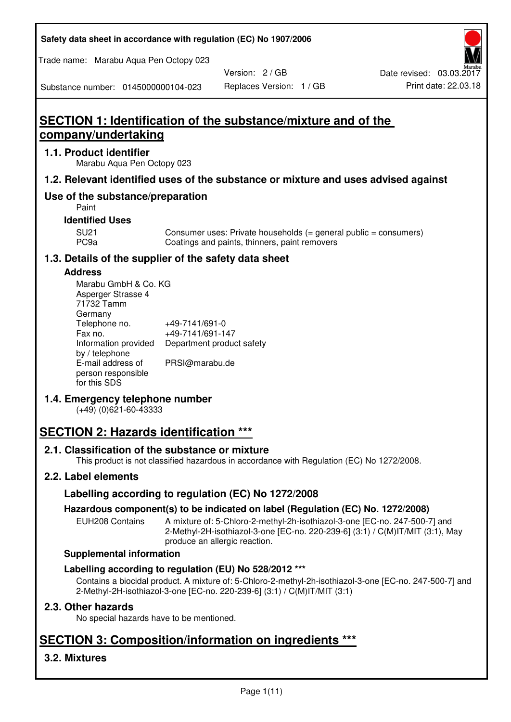| Safety data sheet in accordance with regulation (EC) No 1907/2006 |  |
|-------------------------------------------------------------------|--|
|-------------------------------------------------------------------|--|

Trade name: Marabu Aqua Pen Octopy 023

Version: 2 / GB

Substance number: 0145000000104-023

# **SECTION 1: Identification of the substance/mixture and of the company/undertaking**

# **1.1. Product identifier**

Marabu Aqua Pen Octopy 023

# **1.2. Relevant identified uses of the substance or mixture and uses advised against**

# **Use of the substance/preparation**

Paint

# **Identified Uses**

SU21 Consumer uses: Private households (= general public = consumers)<br>PC9a Coatings and paints, thinners, paint removers Coatings and paints, thinners, paint removers

# **1.3. Details of the supplier of the safety data sheet**

### **Address**

| Marabu GmbH & Co. KG |                           |
|----------------------|---------------------------|
| Asperger Strasse 4   |                           |
| 71732 Tamm           |                           |
| Germany              |                           |
| Telephone no.        | +49-7141/691-0            |
| Fax no.              | +49-7141/691-147          |
| Information provided | Department product safety |
| by / telephone       |                           |
| E-mail address of    | PRSI@marabu.de            |
| person responsible   |                           |
| for this SDS         |                           |

# **1.4. Emergency telephone number**

(+49) (0)621-60-43333

# **SECTION 2: Hazards identification \*\*\***

# **2.1. Classification of the substance or mixture**

This product is not classified hazardous in accordance with Regulation (EC) No 1272/2008.

# **2.2. Label elements**

# **Labelling according to regulation (EC) No 1272/2008**

# **Hazardous component(s) to be indicated on label (Regulation (EC) No. 1272/2008)**

EUH208 Contains A mixture of: 5-Chloro-2-methyl-2h-isothiazol-3-one [EC-no. 247-500-7] and 2-Methyl-2H-isothiazol-3-one [EC-no. 220-239-6] (3:1) / C(M)IT/MIT (3:1), May produce an allergic reaction.

### **Supplemental information**

# **Labelling according to regulation (EU) No 528/2012 \*\*\***

Contains a biocidal product. A mixture of: 5-Chloro-2-methyl-2h-isothiazol-3-one [EC-no. 247-500-7] and 2-Methyl-2H-isothiazol-3-one [EC-no. 220-239-6] (3:1) / C(M)IT/MIT (3:1)

# **2.3. Other hazards**

No special hazards have to be mentioned.

# **SECTION 3: Composition/information on ingredients \*\*\***

# **3.2. Mixtures**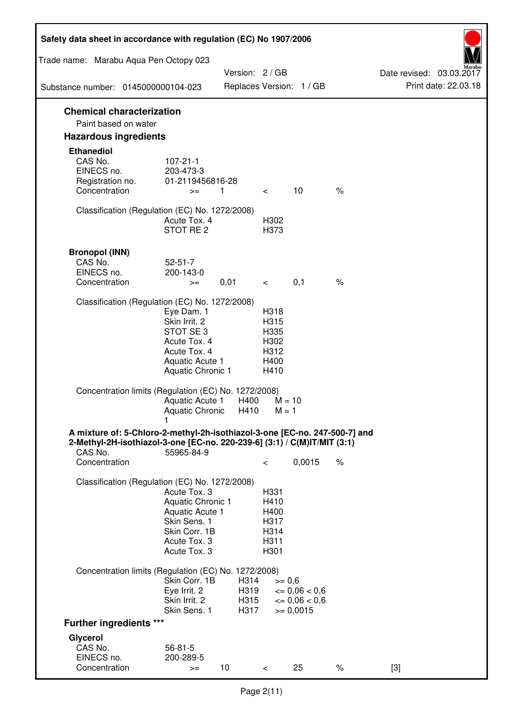| Safety data sheet in accordance with regulation (EC) No 1907/2006                                                                                                 |                                                                                                                       |                              |                                                      |                                                                  |      |                                                  |
|-------------------------------------------------------------------------------------------------------------------------------------------------------------------|-----------------------------------------------------------------------------------------------------------------------|------------------------------|------------------------------------------------------|------------------------------------------------------------------|------|--------------------------------------------------|
| Trade name: Marabu Aqua Pen Octopy 023                                                                                                                            |                                                                                                                       |                              |                                                      |                                                                  |      |                                                  |
| Substance number: 0145000000104-023                                                                                                                               |                                                                                                                       | Version: 2 / GB              |                                                      | Replaces Version: 1 / GB                                         |      | Date revised: 03.03.2017<br>Print date: 22.03.18 |
|                                                                                                                                                                   |                                                                                                                       |                              |                                                      |                                                                  |      |                                                  |
| <b>Chemical characterization</b><br>Paint based on water                                                                                                          |                                                                                                                       |                              |                                                      |                                                                  |      |                                                  |
| <b>Hazardous ingredients</b>                                                                                                                                      |                                                                                                                       |                              |                                                      |                                                                  |      |                                                  |
| <b>Ethanediol</b><br>CAS No.<br>EINECS no.<br>Registration no.<br>Concentration                                                                                   | $107 - 21 - 1$<br>203-473-3<br>01-2119456816-28<br>$>=$                                                               | 1                            |                                                      | 10                                                               | $\%$ |                                                  |
|                                                                                                                                                                   |                                                                                                                       |                              | $\lt$ $\sim$                                         |                                                                  |      |                                                  |
| Classification (Regulation (EC) No. 1272/2008)                                                                                                                    | Acute Tox. 4<br>STOT RE 2                                                                                             |                              | H302<br>H373                                         |                                                                  |      |                                                  |
| <b>Bronopol (INN)</b><br>CAS No.<br>EINECS no.<br>Concentration                                                                                                   | $52 - 51 - 7$<br>200-143-0<br>$>=$                                                                                    | 0,01                         | $\lt$ $\sim$                                         | 0,1                                                              | $\%$ |                                                  |
| Classification (Regulation (EC) No. 1272/2008)                                                                                                                    |                                                                                                                       |                              |                                                      |                                                                  |      |                                                  |
|                                                                                                                                                                   | Eye Dam. 1<br>Skin Irrit. 2<br>STOT SE3<br>Acute Tox. 4<br>Acute Tox. 4<br>Aquatic Acute 1<br>Aquatic Chronic 1       |                              | H318<br>H315<br>H335<br>H302<br>H312<br>H400<br>H410 |                                                                  |      |                                                  |
| Concentration limits (Regulation (EC) No. 1272/2008)                                                                                                              | Aquatic Acute 1<br>Aquatic Chronic $H410$ M = 1                                                                       | H400                         | $M = 10$                                             |                                                                  |      |                                                  |
| A mixture of: 5-Chloro-2-methyl-2h-isothiazol-3-one [EC-no. 247-500-7] and<br>2-Methyl-2H-isothiazol-3-one [EC-no. 220-239-6] (3:1) / C(M)IT/MIT (3:1)<br>CAS No. | 55965-84-9                                                                                                            |                              |                                                      |                                                                  |      |                                                  |
| Concentration                                                                                                                                                     |                                                                                                                       |                              | $\,<\,$                                              | 0,0015                                                           | $\%$ |                                                  |
| Classification (Regulation (EC) No. 1272/2008)                                                                                                                    | Acute Tox. 3<br>Aquatic Chronic 1<br>Aquatic Acute 1<br>Skin Sens. 1<br>Skin Corr. 1B<br>Acute Tox. 3<br>Acute Tox. 3 |                              | H331<br>H410<br>H400<br>H317<br>H314<br>H311<br>H301 |                                                                  |      |                                                  |
| Concentration limits (Regulation (EC) No. 1272/2008)                                                                                                              |                                                                                                                       |                              |                                                      |                                                                  |      |                                                  |
|                                                                                                                                                                   | Skin Corr. 1B<br>Eye Irrit. 2<br>Skin Irrit. 2<br>Skin Sens. 1                                                        | H314<br>H319<br>H315<br>H317 | $>= 0,6$                                             | $\epsilon = 0.06 < 0.6$<br>$\epsilon = 0.06 < 0.6$<br>$= 0,0015$ |      |                                                  |
| <b>Further ingredients ***</b>                                                                                                                                    |                                                                                                                       |                              |                                                      |                                                                  |      |                                                  |
| Glycerol<br>CAS No.<br>EINECS no.<br>Concentration                                                                                                                | $56 - 81 - 5$<br>200-289-5<br>$>=$                                                                                    | 10 <sup>°</sup>              | $\,<\,$                                              | 25                                                               | $\%$ | $[3]$                                            |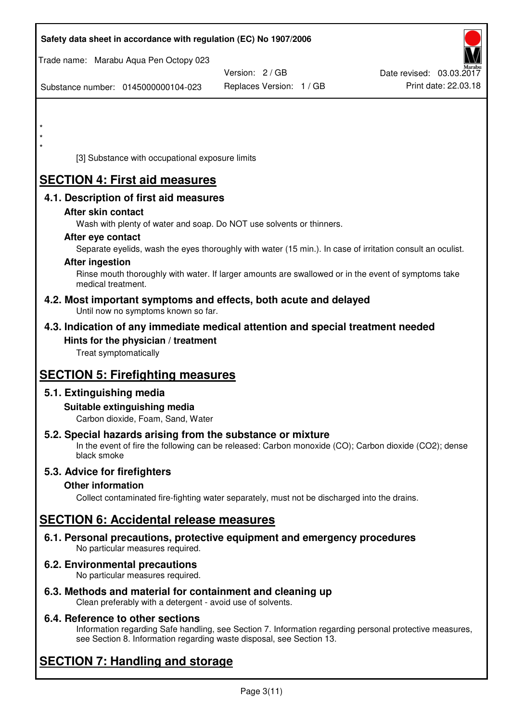| Safety data sheet in accordance with regulation (EC) No 1907/2006                                            |                                                                                                            |                          |
|--------------------------------------------------------------------------------------------------------------|------------------------------------------------------------------------------------------------------------|--------------------------|
| Trade name: Marabu Aqua Pen Octopy 023                                                                       |                                                                                                            |                          |
|                                                                                                              | Version: 2/GB                                                                                              | Date revised: 03.03.2017 |
| Substance number: 0145000000104-023                                                                          | Replaces Version: 1 / GB                                                                                   | Print date: 22.03.18     |
|                                                                                                              |                                                                                                            |                          |
| $\star$                                                                                                      |                                                                                                            |                          |
|                                                                                                              |                                                                                                            |                          |
| [3] Substance with occupational exposure limits                                                              |                                                                                                            |                          |
| <b>SECTION 4: First aid measures</b>                                                                         |                                                                                                            |                          |
| 4.1. Description of first aid measures                                                                       |                                                                                                            |                          |
| After skin contact                                                                                           |                                                                                                            |                          |
|                                                                                                              | Wash with plenty of water and soap. Do NOT use solvents or thinners.                                       |                          |
| After eye contact                                                                                            |                                                                                                            |                          |
| <b>After ingestion</b>                                                                                       | Separate eyelids, wash the eyes thoroughly with water (15 min.). In case of irritation consult an oculist. |                          |
| medical treatment.                                                                                           | Rinse mouth thoroughly with water. If larger amounts are swallowed or in the event of symptoms take        |                          |
| 4.2. Most important symptoms and effects, both acute and delayed<br>Until now no symptoms known so far.      |                                                                                                            |                          |
| 4.3. Indication of any immediate medical attention and special treatment needed                              |                                                                                                            |                          |
| Hints for the physician / treatment<br>Treat symptomatically                                                 |                                                                                                            |                          |
| <b>SECTION 5: Firefighting measures</b>                                                                      |                                                                                                            |                          |
| 5.1. Extinguishing media                                                                                     |                                                                                                            |                          |
| Suitable extinguishing media<br>Carbon dioxide, Foam, Sand, Water                                            |                                                                                                            |                          |
| 5.2. Special hazards arising from the substance or mixture<br>black smoke                                    | In the event of fire the following can be released: Carbon monoxide (CO); Carbon dioxide (CO2); dense      |                          |
| 5.3. Advice for firefighters                                                                                 |                                                                                                            |                          |
| <b>Other information</b>                                                                                     |                                                                                                            |                          |
|                                                                                                              | Collect contaminated fire-fighting water separately, must not be discharged into the drains.               |                          |
| <b>SECTION 6: Accidental release measures</b>                                                                |                                                                                                            |                          |
| 6.1. Personal precautions, protective equipment and emergency procedures<br>No particular measures required. |                                                                                                            |                          |
| <b>6.2. Environmental precautions</b><br>No particular measures required.                                    |                                                                                                            |                          |
|                                                                                                              |                                                                                                            |                          |

**6.3. Methods and material for containment and cleaning up**  Clean preferably with a detergent - avoid use of solvents.

# **6.4. Reference to other sections**

Information regarding Safe handling, see Section 7. Information regarding personal protective measures, see Section 8. Information regarding waste disposal, see Section 13.

# **SECTION 7: Handling and storage**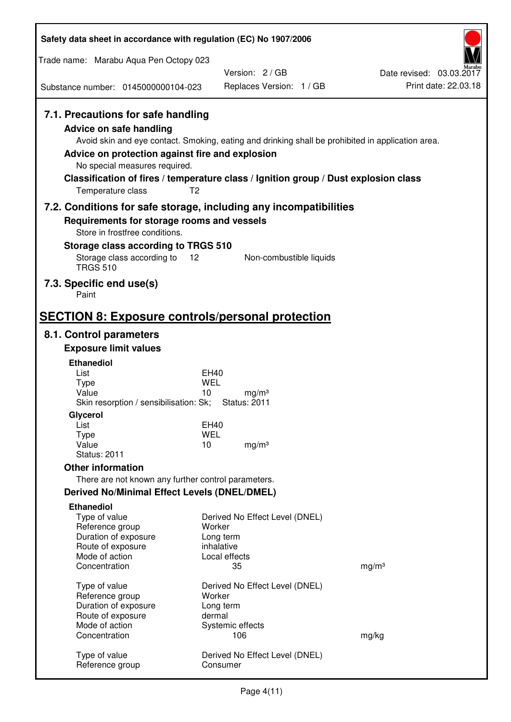| Safety data sheet in accordance with regulation (EC) No 1907/2006                                                                                                                               |                                                                                                                                                                                          |                                                  |
|-------------------------------------------------------------------------------------------------------------------------------------------------------------------------------------------------|------------------------------------------------------------------------------------------------------------------------------------------------------------------------------------------|--------------------------------------------------|
| Trade name: Marabu Aqua Pen Octopy 023                                                                                                                                                          |                                                                                                                                                                                          |                                                  |
| Substance number: 0145000000104-023                                                                                                                                                             | Version: 2/GB<br>Replaces Version: 1 / GB                                                                                                                                                | Date revised: 03.03.2017<br>Print date: 22.03.18 |
|                                                                                                                                                                                                 |                                                                                                                                                                                          |                                                  |
| 7.1. Precautions for safe handling<br><b>Advice on safe handling</b><br>Advice on protection against fire and explosion<br>No special measures required.<br>T <sub>2</sub><br>Temperature class | Avoid skin and eye contact. Smoking, eating and drinking shall be prohibited in application area.<br>Classification of fires / temperature class / Ignition group / Dust explosion class |                                                  |
| 7.2. Conditions for safe storage, including any incompatibilities                                                                                                                               |                                                                                                                                                                                          |                                                  |
| Requirements for storage rooms and vessels<br>Store in frostfree conditions.                                                                                                                    |                                                                                                                                                                                          |                                                  |
| Storage class according to TRGS 510                                                                                                                                                             |                                                                                                                                                                                          |                                                  |
| Storage class according to<br>12<br><b>TRGS 510</b>                                                                                                                                             | Non-combustible liquids                                                                                                                                                                  |                                                  |
| 7.3. Specific end use(s)<br>Paint                                                                                                                                                               |                                                                                                                                                                                          |                                                  |
| <b>SECTION 8: Exposure controls/personal protection</b>                                                                                                                                         |                                                                                                                                                                                          |                                                  |
| 8.1. Control parameters                                                                                                                                                                         |                                                                                                                                                                                          |                                                  |
| <b>Exposure limit values</b>                                                                                                                                                                    |                                                                                                                                                                                          |                                                  |
| <b>Ethanediol</b>                                                                                                                                                                               |                                                                                                                                                                                          |                                                  |
| List<br><b>Type</b>                                                                                                                                                                             | EH40<br>WEL                                                                                                                                                                              |                                                  |
| Value                                                                                                                                                                                           | 10<br>mg/m <sup>3</sup>                                                                                                                                                                  |                                                  |
| Skin resorption / sensibilisation: Sk;                                                                                                                                                          | <b>Status: 2011</b>                                                                                                                                                                      |                                                  |
| Glycerol<br>List                                                                                                                                                                                | EH40                                                                                                                                                                                     |                                                  |
| Type                                                                                                                                                                                            | <b>WEL</b>                                                                                                                                                                               |                                                  |
| Value<br><b>Status: 2011</b>                                                                                                                                                                    | 10<br>mg/m <sup>3</sup>                                                                                                                                                                  |                                                  |
| <b>Other information</b>                                                                                                                                                                        |                                                                                                                                                                                          |                                                  |
| There are not known any further control parameters.                                                                                                                                             |                                                                                                                                                                                          |                                                  |
| <b>Derived No/Minimal Effect Levels (DNEL/DMEL)</b>                                                                                                                                             |                                                                                                                                                                                          |                                                  |
| <b>Ethanediol</b>                                                                                                                                                                               |                                                                                                                                                                                          |                                                  |
| Type of value<br>Reference group                                                                                                                                                                | Derived No Effect Level (DNEL)<br>Worker                                                                                                                                                 |                                                  |
| Duration of exposure                                                                                                                                                                            | Long term                                                                                                                                                                                |                                                  |
| Route of exposure                                                                                                                                                                               | inhalative                                                                                                                                                                               |                                                  |
| Mode of action<br>Concentration                                                                                                                                                                 | Local effects<br>35                                                                                                                                                                      | mg/m <sup>3</sup>                                |
|                                                                                                                                                                                                 |                                                                                                                                                                                          |                                                  |
| Type of value<br>Reference group                                                                                                                                                                | Derived No Effect Level (DNEL)<br>Worker                                                                                                                                                 |                                                  |
| Duration of exposure                                                                                                                                                                            | Long term                                                                                                                                                                                |                                                  |
| Route of exposure                                                                                                                                                                               | dermal                                                                                                                                                                                   |                                                  |
| Mode of action<br>Concentration                                                                                                                                                                 | Systemic effects<br>106                                                                                                                                                                  | mg/kg                                            |
|                                                                                                                                                                                                 |                                                                                                                                                                                          |                                                  |
| Type of value<br>Reference group                                                                                                                                                                | Derived No Effect Level (DNEL)<br>Consumer                                                                                                                                               |                                                  |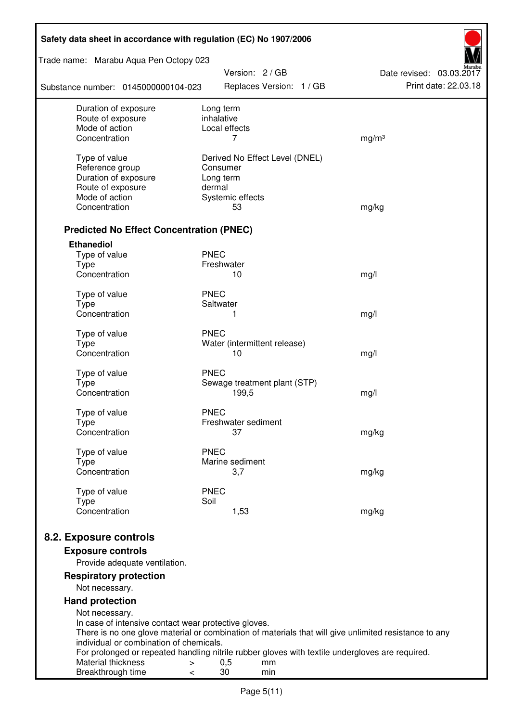| Safety data sheet in accordance with regulation (EC) No 1907/2006                                                                          |                                |                          |  |  |  |
|--------------------------------------------------------------------------------------------------------------------------------------------|--------------------------------|--------------------------|--|--|--|
| Trade name: Marabu Aqua Pen Octopy 023                                                                                                     | Version: 2 / GB                | Date revised: 03.03.2017 |  |  |  |
| Substance number: 0145000000104-023                                                                                                        | Replaces Version: 1 / GB       | Print date: 22.03.18     |  |  |  |
| Duration of exposure                                                                                                                       | Long term                      |                          |  |  |  |
| Route of exposure<br>Mode of action                                                                                                        | inhalative<br>Local effects    |                          |  |  |  |
| Concentration                                                                                                                              | 7                              | mg/m <sup>3</sup>        |  |  |  |
|                                                                                                                                            |                                |                          |  |  |  |
| Type of value                                                                                                                              | Derived No Effect Level (DNEL) |                          |  |  |  |
| Reference group                                                                                                                            | Consumer                       |                          |  |  |  |
| Duration of exposure                                                                                                                       | Long term                      |                          |  |  |  |
| Route of exposure<br>Mode of action                                                                                                        | dermal<br>Systemic effects     |                          |  |  |  |
| Concentration                                                                                                                              | 53                             | mg/kg                    |  |  |  |
|                                                                                                                                            |                                |                          |  |  |  |
| <b>Predicted No Effect Concentration (PNEC)</b>                                                                                            |                                |                          |  |  |  |
| <b>Ethanediol</b>                                                                                                                          |                                |                          |  |  |  |
| Type of value                                                                                                                              | <b>PNEC</b>                    |                          |  |  |  |
| <b>Type</b><br>Concentration                                                                                                               | Freshwater<br>10               |                          |  |  |  |
|                                                                                                                                            |                                | mg/l                     |  |  |  |
| Type of value                                                                                                                              | <b>PNEC</b>                    |                          |  |  |  |
| <b>Type</b>                                                                                                                                | Saltwater                      |                          |  |  |  |
| Concentration                                                                                                                              | 1                              | mg/l                     |  |  |  |
| Type of value                                                                                                                              | <b>PNEC</b>                    |                          |  |  |  |
| <b>Type</b>                                                                                                                                | Water (intermittent release)   |                          |  |  |  |
| Concentration                                                                                                                              | 10                             | mg/l                     |  |  |  |
| Type of value                                                                                                                              | <b>PNEC</b>                    |                          |  |  |  |
| <b>Type</b>                                                                                                                                | Sewage treatment plant (STP)   |                          |  |  |  |
| Concentration                                                                                                                              | 199,5                          | mg/l                     |  |  |  |
| Type of value                                                                                                                              | <b>PNEC</b>                    |                          |  |  |  |
| Type                                                                                                                                       | Freshwater sediment            |                          |  |  |  |
| Concentration                                                                                                                              | 37                             | mg/kg                    |  |  |  |
| Type of value                                                                                                                              | <b>PNEC</b>                    |                          |  |  |  |
| <b>Type</b>                                                                                                                                | Marine sediment                |                          |  |  |  |
| Concentration                                                                                                                              | 3,7                            | mg/kg                    |  |  |  |
| Type of value                                                                                                                              | <b>PNEC</b>                    |                          |  |  |  |
| <b>Type</b>                                                                                                                                | Soil                           |                          |  |  |  |
| Concentration                                                                                                                              | 1,53                           | mg/kg                    |  |  |  |
|                                                                                                                                            |                                |                          |  |  |  |
| 8.2. Exposure controls                                                                                                                     |                                |                          |  |  |  |
| <b>Exposure controls</b>                                                                                                                   |                                |                          |  |  |  |
| Provide adequate ventilation.                                                                                                              |                                |                          |  |  |  |
| <b>Respiratory protection</b><br>Not necessary.                                                                                            |                                |                          |  |  |  |
|                                                                                                                                            |                                |                          |  |  |  |
| <b>Hand protection</b><br>Not necessary.                                                                                                   |                                |                          |  |  |  |
| In case of intensive contact wear protective gloves.                                                                                       |                                |                          |  |  |  |
| There is no one glove material or combination of materials that will give unlimited resistance to any                                      |                                |                          |  |  |  |
| individual or combination of chemicals.<br>For prolonged or repeated handling nitrile rubber gloves with textile undergloves are required. |                                |                          |  |  |  |
| Material thickness<br>>                                                                                                                    | 0,5<br>mm                      |                          |  |  |  |
| Breakthrough time<br><                                                                                                                     | 30<br>min                      |                          |  |  |  |
|                                                                                                                                            |                                |                          |  |  |  |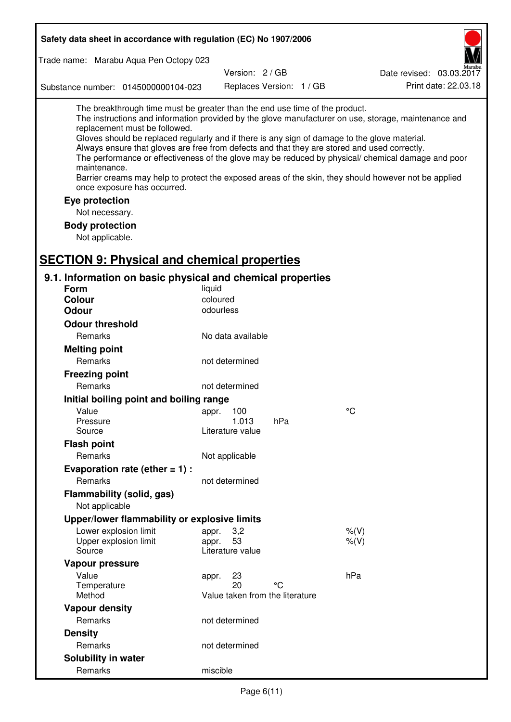| Safety data sheet in accordance with regulation (EC) No 1907/2006                                                                                                                                                                                                                                                                                                                                                                                                                                                                                                                                                                                                                  |  |  |  |  |  |
|------------------------------------------------------------------------------------------------------------------------------------------------------------------------------------------------------------------------------------------------------------------------------------------------------------------------------------------------------------------------------------------------------------------------------------------------------------------------------------------------------------------------------------------------------------------------------------------------------------------------------------------------------------------------------------|--|--|--|--|--|
| Trade name: Marabu Aqua Pen Octopy 023                                                                                                                                                                                                                                                                                                                                                                                                                                                                                                                                                                                                                                             |  |  |  |  |  |
| Version: 2 / GB<br>Date revised: 03.03.2017                                                                                                                                                                                                                                                                                                                                                                                                                                                                                                                                                                                                                                        |  |  |  |  |  |
| Print date: 22.03.18<br>Replaces Version: 1 / GB<br>Substance number: 0145000000104-023                                                                                                                                                                                                                                                                                                                                                                                                                                                                                                                                                                                            |  |  |  |  |  |
| The breakthrough time must be greater than the end use time of the product.<br>The instructions and information provided by the glove manufacturer on use, storage, maintenance and<br>replacement must be followed.<br>Gloves should be replaced regularly and if there is any sign of damage to the glove material.<br>Always ensure that gloves are free from defects and that they are stored and used correctly.<br>The performance or effectiveness of the glove may be reduced by physical/ chemical damage and poor<br>maintenance.<br>Barrier creams may help to protect the exposed areas of the skin, they should however not be applied<br>once exposure has occurred. |  |  |  |  |  |
| Eye protection                                                                                                                                                                                                                                                                                                                                                                                                                                                                                                                                                                                                                                                                     |  |  |  |  |  |
| Not necessary.                                                                                                                                                                                                                                                                                                                                                                                                                                                                                                                                                                                                                                                                     |  |  |  |  |  |
| <b>Body protection</b>                                                                                                                                                                                                                                                                                                                                                                                                                                                                                                                                                                                                                                                             |  |  |  |  |  |
| Not applicable.                                                                                                                                                                                                                                                                                                                                                                                                                                                                                                                                                                                                                                                                    |  |  |  |  |  |
|                                                                                                                                                                                                                                                                                                                                                                                                                                                                                                                                                                                                                                                                                    |  |  |  |  |  |
| <b>SECTION 9: Physical and chemical properties</b>                                                                                                                                                                                                                                                                                                                                                                                                                                                                                                                                                                                                                                 |  |  |  |  |  |
| 9.1. Information on basic physical and chemical properties                                                                                                                                                                                                                                                                                                                                                                                                                                                                                                                                                                                                                         |  |  |  |  |  |
| <b>Form</b><br>liquid                                                                                                                                                                                                                                                                                                                                                                                                                                                                                                                                                                                                                                                              |  |  |  |  |  |
| coloured<br><b>Colour</b>                                                                                                                                                                                                                                                                                                                                                                                                                                                                                                                                                                                                                                                          |  |  |  |  |  |
| odourless<br><b>Odour</b>                                                                                                                                                                                                                                                                                                                                                                                                                                                                                                                                                                                                                                                          |  |  |  |  |  |
| <b>Odour threshold</b>                                                                                                                                                                                                                                                                                                                                                                                                                                                                                                                                                                                                                                                             |  |  |  |  |  |
| Remarks<br>No data available                                                                                                                                                                                                                                                                                                                                                                                                                                                                                                                                                                                                                                                       |  |  |  |  |  |
| <b>Melting point</b>                                                                                                                                                                                                                                                                                                                                                                                                                                                                                                                                                                                                                                                               |  |  |  |  |  |
| Remarks<br>not determined                                                                                                                                                                                                                                                                                                                                                                                                                                                                                                                                                                                                                                                          |  |  |  |  |  |
| <b>Freezing point</b>                                                                                                                                                                                                                                                                                                                                                                                                                                                                                                                                                                                                                                                              |  |  |  |  |  |
| Remarks<br>not determined                                                                                                                                                                                                                                                                                                                                                                                                                                                                                                                                                                                                                                                          |  |  |  |  |  |
| Initial boiling point and boiling range                                                                                                                                                                                                                                                                                                                                                                                                                                                                                                                                                                                                                                            |  |  |  |  |  |
| $\rm ^{\circ}C$<br>Value<br>appr. 100                                                                                                                                                                                                                                                                                                                                                                                                                                                                                                                                                                                                                                              |  |  |  |  |  |
| 1.013<br>hPa<br>Pressure                                                                                                                                                                                                                                                                                                                                                                                                                                                                                                                                                                                                                                                           |  |  |  |  |  |
| Source<br>Literature value                                                                                                                                                                                                                                                                                                                                                                                                                                                                                                                                                                                                                                                         |  |  |  |  |  |
| <b>Flash point</b>                                                                                                                                                                                                                                                                                                                                                                                                                                                                                                                                                                                                                                                                 |  |  |  |  |  |
| Remarks<br>Not applicable                                                                                                                                                                                                                                                                                                                                                                                                                                                                                                                                                                                                                                                          |  |  |  |  |  |
| Evaporation rate (ether $= 1$ ) :                                                                                                                                                                                                                                                                                                                                                                                                                                                                                                                                                                                                                                                  |  |  |  |  |  |
| Remarks<br>not determined                                                                                                                                                                                                                                                                                                                                                                                                                                                                                                                                                                                                                                                          |  |  |  |  |  |
| Flammability (solid, gas)                                                                                                                                                                                                                                                                                                                                                                                                                                                                                                                                                                                                                                                          |  |  |  |  |  |
| Not applicable                                                                                                                                                                                                                                                                                                                                                                                                                                                                                                                                                                                                                                                                     |  |  |  |  |  |
| Upper/lower flammability or explosive limits                                                                                                                                                                                                                                                                                                                                                                                                                                                                                                                                                                                                                                       |  |  |  |  |  |
| Lower explosion limit<br>3,2<br>$%$ (V)<br>appr.                                                                                                                                                                                                                                                                                                                                                                                                                                                                                                                                                                                                                                   |  |  |  |  |  |
| 53<br>Upper explosion limit<br>$%$ (V)<br>appr.                                                                                                                                                                                                                                                                                                                                                                                                                                                                                                                                                                                                                                    |  |  |  |  |  |
| Source<br>Literature value                                                                                                                                                                                                                                                                                                                                                                                                                                                                                                                                                                                                                                                         |  |  |  |  |  |
| Vapour pressure                                                                                                                                                                                                                                                                                                                                                                                                                                                                                                                                                                                                                                                                    |  |  |  |  |  |
| hPa<br>Value<br>23<br>appr.<br>20<br>°C<br>Temperature                                                                                                                                                                                                                                                                                                                                                                                                                                                                                                                                                                                                                             |  |  |  |  |  |
| Method<br>Value taken from the literature                                                                                                                                                                                                                                                                                                                                                                                                                                                                                                                                                                                                                                          |  |  |  |  |  |
| <b>Vapour density</b>                                                                                                                                                                                                                                                                                                                                                                                                                                                                                                                                                                                                                                                              |  |  |  |  |  |
| Remarks<br>not determined                                                                                                                                                                                                                                                                                                                                                                                                                                                                                                                                                                                                                                                          |  |  |  |  |  |
| <b>Density</b>                                                                                                                                                                                                                                                                                                                                                                                                                                                                                                                                                                                                                                                                     |  |  |  |  |  |
| Remarks<br>not determined                                                                                                                                                                                                                                                                                                                                                                                                                                                                                                                                                                                                                                                          |  |  |  |  |  |
| Solubility in water                                                                                                                                                                                                                                                                                                                                                                                                                                                                                                                                                                                                                                                                |  |  |  |  |  |
| Remarks<br>miscible                                                                                                                                                                                                                                                                                                                                                                                                                                                                                                                                                                                                                                                                |  |  |  |  |  |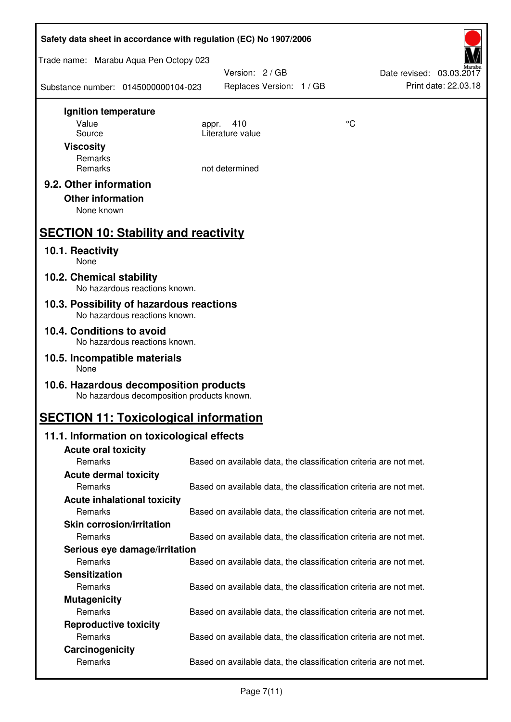| Safety data sheet in accordance with regulation (EC) No 1907/2006                    |                                                                   |    |                                                  |  |  |  |
|--------------------------------------------------------------------------------------|-------------------------------------------------------------------|----|--------------------------------------------------|--|--|--|
| Trade name: Marabu Aqua Pen Octopy 023                                               |                                                                   |    |                                                  |  |  |  |
| Substance number: 0145000000104-023                                                  | Version: 2 / GB<br>Replaces Version: 1 / GB                       |    | Date revised: 03.03.2017<br>Print date: 22.03.18 |  |  |  |
| Ignition temperature                                                                 |                                                                   |    |                                                  |  |  |  |
| Value<br>Source                                                                      | 410<br>appr.<br>Literature value                                  | °C |                                                  |  |  |  |
| <b>Viscosity</b>                                                                     |                                                                   |    |                                                  |  |  |  |
| Remarks                                                                              |                                                                   |    |                                                  |  |  |  |
| Remarks                                                                              | not determined                                                    |    |                                                  |  |  |  |
| 9.2. Other information                                                               |                                                                   |    |                                                  |  |  |  |
| <b>Other information</b>                                                             |                                                                   |    |                                                  |  |  |  |
| None known                                                                           |                                                                   |    |                                                  |  |  |  |
| <b>SECTION 10: Stability and reactivity</b>                                          |                                                                   |    |                                                  |  |  |  |
| 10.1. Reactivity<br>None                                                             |                                                                   |    |                                                  |  |  |  |
| 10.2. Chemical stability<br>No hazardous reactions known.                            |                                                                   |    |                                                  |  |  |  |
| 10.3. Possibility of hazardous reactions                                             |                                                                   |    |                                                  |  |  |  |
| No hazardous reactions known.<br>10.4. Conditions to avoid                           |                                                                   |    |                                                  |  |  |  |
| No hazardous reactions known.                                                        |                                                                   |    |                                                  |  |  |  |
| 10.5. Incompatible materials<br>None                                                 |                                                                   |    |                                                  |  |  |  |
| 10.6. Hazardous decomposition products<br>No hazardous decomposition products known. |                                                                   |    |                                                  |  |  |  |
| <b>SECTION 11: Toxicological information</b>                                         |                                                                   |    |                                                  |  |  |  |
| 11.1. Information on toxicological effects                                           |                                                                   |    |                                                  |  |  |  |
| <b>Acute oral toxicity</b>                                                           |                                                                   |    |                                                  |  |  |  |
| Remarks                                                                              | Based on available data, the classification criteria are not met. |    |                                                  |  |  |  |
| <b>Acute dermal toxicity</b><br>Remarks                                              | Based on available data, the classification criteria are not met. |    |                                                  |  |  |  |
| <b>Acute inhalational toxicity</b>                                                   |                                                                   |    |                                                  |  |  |  |
| Remarks                                                                              | Based on available data, the classification criteria are not met. |    |                                                  |  |  |  |
| <b>Skin corrosion/irritation</b>                                                     |                                                                   |    |                                                  |  |  |  |
| Remarks                                                                              | Based on available data, the classification criteria are not met. |    |                                                  |  |  |  |
| Serious eye damage/irritation                                                        |                                                                   |    |                                                  |  |  |  |
| Remarks                                                                              | Based on available data, the classification criteria are not met. |    |                                                  |  |  |  |
| <b>Sensitization</b><br>Remarks                                                      | Based on available data, the classification criteria are not met. |    |                                                  |  |  |  |
| <b>Mutagenicity</b>                                                                  |                                                                   |    |                                                  |  |  |  |
| Remarks                                                                              | Based on available data, the classification criteria are not met. |    |                                                  |  |  |  |
| <b>Reproductive toxicity</b>                                                         |                                                                   |    |                                                  |  |  |  |
| Remarks                                                                              | Based on available data, the classification criteria are not met. |    |                                                  |  |  |  |
| Carcinogenicity                                                                      |                                                                   |    |                                                  |  |  |  |
| Remarks                                                                              | Based on available data, the classification criteria are not met. |    |                                                  |  |  |  |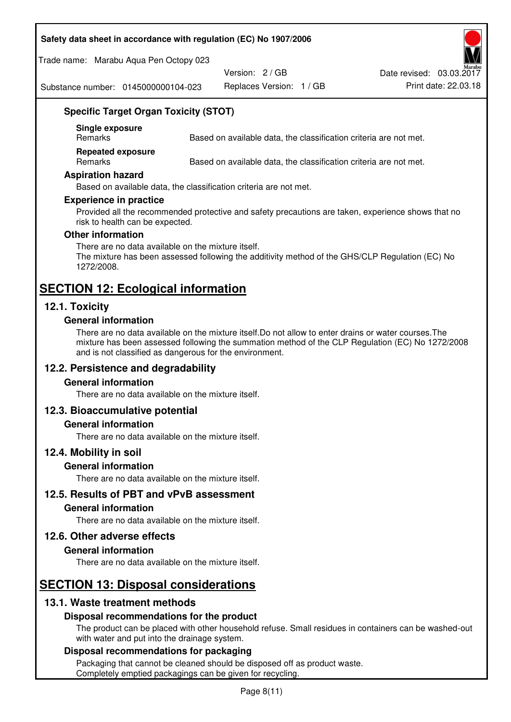### **Safety data sheet in accordance with regulation (EC) No 1907/2006**

Trade name: Marabu Aqua Pen Octopy 023

Version: 2 / GB

Replaces Version: 1 / GB Print date: 22.03.18 Date revised: 03.03.2017

Substance number: 0145000000104-023

# **Specific Target Organ Toxicity (STOT)**

**Single exposure** 

Based on available data, the classification criteria are not met.

**Repeated exposure** 

Remarks Based on available data, the classification criteria are not met.

#### **Aspiration hazard**

Based on available data, the classification criteria are not met.

#### **Experience in practice**

Provided all the recommended protective and safety precautions are taken, experience shows that no risk to health can be expected.

#### **Other information**

There are no data available on the mixture itself. The mixture has been assessed following the additivity method of the GHS/CLP Regulation (EC) No 1272/2008.

# **SECTION 12: Ecological information**

# **12.1. Toxicity**

### **General information**

There are no data available on the mixture itself.Do not allow to enter drains or water courses.The mixture has been assessed following the summation method of the CLP Regulation (EC) No 1272/2008 and is not classified as dangerous for the environment.

### **12.2. Persistence and degradability**

#### **General information**

There are no data available on the mixture itself.

### **12.3. Bioaccumulative potential**

### **General information**

There are no data available on the mixture itself.

#### **12.4. Mobility in soil**

#### **General information**

There are no data available on the mixture itself.

**12.5. Results of PBT and vPvB assessment** 

### **General information**

There are no data available on the mixture itself.

### **12.6. Other adverse effects**

#### **General information**

There are no data available on the mixture itself.

# **SECTION 13: Disposal considerations**

### **13.1. Waste treatment methods**

### **Disposal recommendations for the product**

The product can be placed with other household refuse. Small residues in containers can be washed-out with water and put into the drainage system.

### **Disposal recommendations for packaging**

Packaging that cannot be cleaned should be disposed off as product waste. Completely emptied packagings can be given for recycling.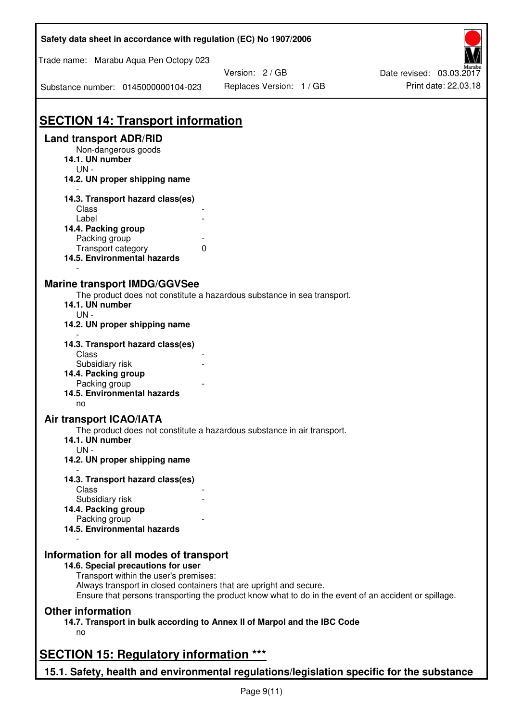| Safety data sheet in accordance with regulation (EC) No 1907/2006                         |                                                                                                       |                          |
|-------------------------------------------------------------------------------------------|-------------------------------------------------------------------------------------------------------|--------------------------|
| Trade name: Marabu Aqua Pen Octopy 023                                                    |                                                                                                       |                          |
|                                                                                           | Version: 2 / GB                                                                                       | Date revised: 03.03.2017 |
| Substance number: 0145000000104-023                                                       | Replaces Version: 1 / GB                                                                              | Print date: 22.03.18     |
| <b>SECTION 14: Transport information</b>                                                  |                                                                                                       |                          |
| <b>Land transport ADR/RID</b>                                                             |                                                                                                       |                          |
| Non-dangerous goods                                                                       |                                                                                                       |                          |
| 14.1. UN number                                                                           |                                                                                                       |                          |
| $UN -$                                                                                    |                                                                                                       |                          |
| 14.2. UN proper shipping name                                                             |                                                                                                       |                          |
| 14.3. Transport hazard class(es)                                                          |                                                                                                       |                          |
| Class                                                                                     |                                                                                                       |                          |
| Label                                                                                     |                                                                                                       |                          |
| 14.4. Packing group                                                                       |                                                                                                       |                          |
| Packing group                                                                             |                                                                                                       |                          |
| Transport category                                                                        | 0                                                                                                     |                          |
| 14.5. Environmental hazards                                                               |                                                                                                       |                          |
|                                                                                           |                                                                                                       |                          |
| <b>Marine transport IMDG/GGVSee</b>                                                       |                                                                                                       |                          |
|                                                                                           | The product does not constitute a hazardous substance in sea transport.                               |                          |
| 14.1. UN number                                                                           |                                                                                                       |                          |
| $UN -$                                                                                    |                                                                                                       |                          |
| 14.2. UN proper shipping name                                                             |                                                                                                       |                          |
| 14.3. Transport hazard class(es)                                                          |                                                                                                       |                          |
| Class                                                                                     |                                                                                                       |                          |
| Subsidiary risk                                                                           |                                                                                                       |                          |
| 14.4. Packing group                                                                       |                                                                                                       |                          |
| Packing group                                                                             |                                                                                                       |                          |
| 14.5. Environmental hazards                                                               |                                                                                                       |                          |
| no                                                                                        |                                                                                                       |                          |
| Air transport ICAO/IATA                                                                   |                                                                                                       |                          |
|                                                                                           | The product does not constitute a hazardous substance in air transport.                               |                          |
| 14.1. UN number                                                                           |                                                                                                       |                          |
| $UN -$                                                                                    |                                                                                                       |                          |
| 14.2. UN proper shipping name                                                             |                                                                                                       |                          |
|                                                                                           |                                                                                                       |                          |
| 14.3. Transport hazard class(es)<br>Class                                                 |                                                                                                       |                          |
|                                                                                           |                                                                                                       |                          |
| Subsidiary risk                                                                           |                                                                                                       |                          |
| 14.4. Packing group                                                                       |                                                                                                       |                          |
| Packing group<br>14.5. Environmental hazards                                              |                                                                                                       |                          |
|                                                                                           |                                                                                                       |                          |
|                                                                                           |                                                                                                       |                          |
| Information for all modes of transport                                                    |                                                                                                       |                          |
| 14.6. Special precautions for user<br>Transport within the user's premises:               |                                                                                                       |                          |
|                                                                                           |                                                                                                       |                          |
| Always transport in closed containers that are upright and secure.                        | Ensure that persons transporting the product know what to do in the event of an accident or spillage. |                          |
| <b>Other information</b>                                                                  |                                                                                                       |                          |
|                                                                                           | 14.7. Transport in bulk according to Annex II of Marpol and the IBC Code                              |                          |
| no                                                                                        |                                                                                                       |                          |
|                                                                                           |                                                                                                       |                          |
| <b>SECTION 15: Regulatory information ***</b>                                             |                                                                                                       |                          |
| 15.1. Safety, health and environmental regulations/legislation specific for the substance |                                                                                                       |                          |
|                                                                                           |                                                                                                       |                          |

Ī

٦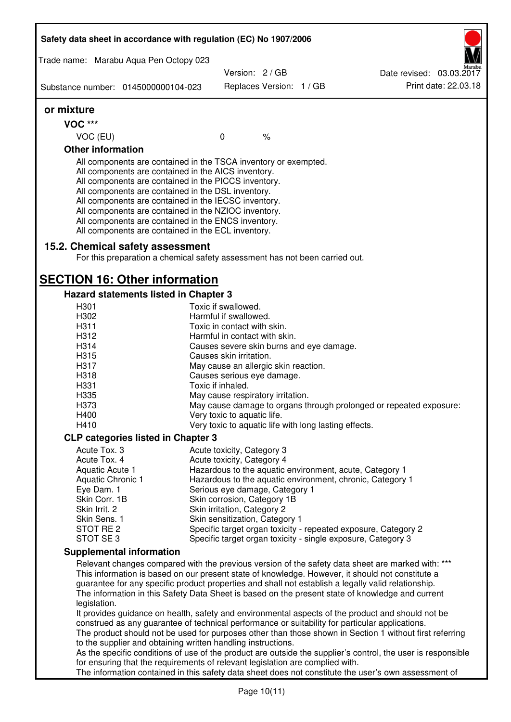| Safety data sheet in accordance with regulation (EC) No 1907/2006                                                                                                                                                                                                                                                                                                                                                                                                 |                   |                                                              |               |                                                       |                                                                                                                                                                                                                                                                                                                                                                                                                  |
|-------------------------------------------------------------------------------------------------------------------------------------------------------------------------------------------------------------------------------------------------------------------------------------------------------------------------------------------------------------------------------------------------------------------------------------------------------------------|-------------------|--------------------------------------------------------------|---------------|-------------------------------------------------------|------------------------------------------------------------------------------------------------------------------------------------------------------------------------------------------------------------------------------------------------------------------------------------------------------------------------------------------------------------------------------------------------------------------|
| Trade name: Marabu Aqua Pen Octopy 023                                                                                                                                                                                                                                                                                                                                                                                                                            |                   | Version: 2 / GB                                              |               |                                                       | Date revised: 03.03.2017                                                                                                                                                                                                                                                                                                                                                                                         |
| Substance number: 0145000000104-023                                                                                                                                                                                                                                                                                                                                                                                                                               |                   | Replaces Version: 1 / GB                                     |               |                                                       | Print date: 22.03.18                                                                                                                                                                                                                                                                                                                                                                                             |
| or mixture                                                                                                                                                                                                                                                                                                                                                                                                                                                        |                   |                                                              |               |                                                       |                                                                                                                                                                                                                                                                                                                                                                                                                  |
| <b>VOC ***</b>                                                                                                                                                                                                                                                                                                                                                                                                                                                    |                   |                                                              |               |                                                       |                                                                                                                                                                                                                                                                                                                                                                                                                  |
| VOC (EU)                                                                                                                                                                                                                                                                                                                                                                                                                                                          | $\mathbf 0$       |                                                              | $\frac{1}{6}$ |                                                       |                                                                                                                                                                                                                                                                                                                                                                                                                  |
| <b>Other information</b>                                                                                                                                                                                                                                                                                                                                                                                                                                          |                   |                                                              |               |                                                       |                                                                                                                                                                                                                                                                                                                                                                                                                  |
| All components are contained in the TSCA inventory or exempted.<br>All components are contained in the AICS inventory.<br>All components are contained in the PICCS inventory.<br>All components are contained in the DSL inventory.<br>All components are contained in the IECSC inventory.<br>All components are contained in the NZIOC inventory.<br>All components are contained in the ENCS inventory.<br>All components are contained in the ECL inventory. |                   |                                                              |               |                                                       |                                                                                                                                                                                                                                                                                                                                                                                                                  |
| 15.2. Chemical safety assessment<br>For this preparation a chemical safety assessment has not been carried out.                                                                                                                                                                                                                                                                                                                                                   |                   |                                                              |               |                                                       |                                                                                                                                                                                                                                                                                                                                                                                                                  |
| <b>SECTION 16: Other information</b>                                                                                                                                                                                                                                                                                                                                                                                                                              |                   |                                                              |               |                                                       |                                                                                                                                                                                                                                                                                                                                                                                                                  |
| Hazard statements listed in Chapter 3                                                                                                                                                                                                                                                                                                                                                                                                                             |                   |                                                              |               |                                                       |                                                                                                                                                                                                                                                                                                                                                                                                                  |
| H <sub>301</sub>                                                                                                                                                                                                                                                                                                                                                                                                                                                  |                   | Toxic if swallowed.                                          |               |                                                       |                                                                                                                                                                                                                                                                                                                                                                                                                  |
| H302                                                                                                                                                                                                                                                                                                                                                                                                                                                              |                   | Harmful if swallowed.                                        |               |                                                       |                                                                                                                                                                                                                                                                                                                                                                                                                  |
| H311<br>H312                                                                                                                                                                                                                                                                                                                                                                                                                                                      |                   | Toxic in contact with skin.<br>Harmful in contact with skin. |               |                                                       |                                                                                                                                                                                                                                                                                                                                                                                                                  |
| H314                                                                                                                                                                                                                                                                                                                                                                                                                                                              |                   |                                                              |               |                                                       |                                                                                                                                                                                                                                                                                                                                                                                                                  |
| H315                                                                                                                                                                                                                                                                                                                                                                                                                                                              |                   |                                                              |               | Causes severe skin burns and eye damage.              |                                                                                                                                                                                                                                                                                                                                                                                                                  |
| H317                                                                                                                                                                                                                                                                                                                                                                                                                                                              |                   | Causes skin irritation.                                      |               |                                                       |                                                                                                                                                                                                                                                                                                                                                                                                                  |
|                                                                                                                                                                                                                                                                                                                                                                                                                                                                   |                   | May cause an allergic skin reaction.                         |               |                                                       |                                                                                                                                                                                                                                                                                                                                                                                                                  |
| H318<br>H331                                                                                                                                                                                                                                                                                                                                                                                                                                                      | Toxic if inhaled. | Causes serious eye damage.                                   |               |                                                       |                                                                                                                                                                                                                                                                                                                                                                                                                  |
| H335                                                                                                                                                                                                                                                                                                                                                                                                                                                              |                   |                                                              |               |                                                       |                                                                                                                                                                                                                                                                                                                                                                                                                  |
| H373                                                                                                                                                                                                                                                                                                                                                                                                                                                              |                   | May cause respiratory irritation.                            |               |                                                       | May cause damage to organs through prolonged or repeated exposure:                                                                                                                                                                                                                                                                                                                                               |
| H400                                                                                                                                                                                                                                                                                                                                                                                                                                                              |                   | Very toxic to aquatic life.                                  |               |                                                       |                                                                                                                                                                                                                                                                                                                                                                                                                  |
| H410                                                                                                                                                                                                                                                                                                                                                                                                                                                              |                   |                                                              |               | Very toxic to aquatic life with long lasting effects. |                                                                                                                                                                                                                                                                                                                                                                                                                  |
|                                                                                                                                                                                                                                                                                                                                                                                                                                                                   |                   |                                                              |               |                                                       |                                                                                                                                                                                                                                                                                                                                                                                                                  |
| <b>CLP categories listed in Chapter 3</b>                                                                                                                                                                                                                                                                                                                                                                                                                         |                   |                                                              |               |                                                       |                                                                                                                                                                                                                                                                                                                                                                                                                  |
| Acute Tox. 3<br>Acute Tox. 4                                                                                                                                                                                                                                                                                                                                                                                                                                      |                   | Acute toxicity, Category 3                                   |               |                                                       |                                                                                                                                                                                                                                                                                                                                                                                                                  |
| Aquatic Acute 1                                                                                                                                                                                                                                                                                                                                                                                                                                                   |                   | Acute toxicity, Category 4                                   |               |                                                       | Hazardous to the aquatic environment, acute, Category 1                                                                                                                                                                                                                                                                                                                                                          |
| Aquatic Chronic 1                                                                                                                                                                                                                                                                                                                                                                                                                                                 |                   |                                                              |               |                                                       | Hazardous to the aquatic environment, chronic, Category 1                                                                                                                                                                                                                                                                                                                                                        |
| Eye Dam. 1                                                                                                                                                                                                                                                                                                                                                                                                                                                        |                   | Serious eye damage, Category 1                               |               |                                                       |                                                                                                                                                                                                                                                                                                                                                                                                                  |
| Skin Corr. 1B                                                                                                                                                                                                                                                                                                                                                                                                                                                     |                   | Skin corrosion, Category 1B                                  |               |                                                       |                                                                                                                                                                                                                                                                                                                                                                                                                  |
| Skin Irrit. 2                                                                                                                                                                                                                                                                                                                                                                                                                                                     |                   | Skin irritation, Category 2                                  |               |                                                       |                                                                                                                                                                                                                                                                                                                                                                                                                  |
| Skin Sens. 1                                                                                                                                                                                                                                                                                                                                                                                                                                                      |                   | Skin sensitization, Category 1                               |               |                                                       |                                                                                                                                                                                                                                                                                                                                                                                                                  |
| STOT RE 2                                                                                                                                                                                                                                                                                                                                                                                                                                                         |                   |                                                              |               |                                                       | Specific target organ toxicity - repeated exposure, Category 2                                                                                                                                                                                                                                                                                                                                                   |
| STOT SE 3                                                                                                                                                                                                                                                                                                                                                                                                                                                         |                   |                                                              |               |                                                       | Specific target organ toxicity - single exposure, Category 3                                                                                                                                                                                                                                                                                                                                                     |
| <b>Supplemental information</b>                                                                                                                                                                                                                                                                                                                                                                                                                                   |                   |                                                              |               |                                                       |                                                                                                                                                                                                                                                                                                                                                                                                                  |
| legislation.                                                                                                                                                                                                                                                                                                                                                                                                                                                      |                   |                                                              |               |                                                       | Relevant changes compared with the previous version of the safety data sheet are marked with: ***<br>This information is based on our present state of knowledge. However, it should not constitute a<br>guarantee for any specific product properties and shall not establish a legally valid relationship.<br>The information in this Safety Data Sheet is based on the present state of knowledge and current |
| construed as any guarantee of technical performance or suitability for particular applications.<br>to the supplier and obtaining written handling instructions.                                                                                                                                                                                                                                                                                                   |                   |                                                              |               |                                                       | It provides guidance on health, safety and environmental aspects of the product and should not be<br>The product should not be used for purposes other than those shown in Section 1 without first referring<br>As the specific conditions of use of the product are outside the supplier's control, the user is responsible                                                                                     |
| for ensuring that the requirements of relevant legislation are complied with.                                                                                                                                                                                                                                                                                                                                                                                     |                   |                                                              |               |                                                       | The information contained in this safety data sheet does not constitute the user's own assessment of                                                                                                                                                                                                                                                                                                             |